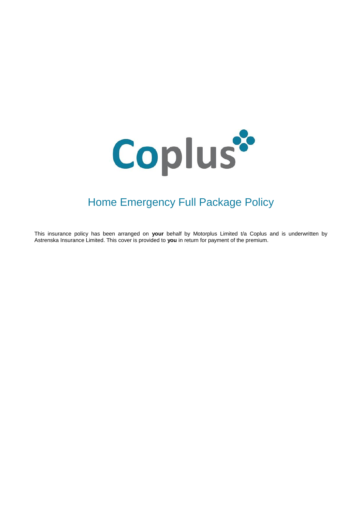

# Home Emergency Full Package Policy

This insurance policy has been arranged on **your** behalf by Motorplus Limited t/a Coplus and is underwritten by Astrenska Insurance Limited. This cover is provided to **you** in return for payment of the premium.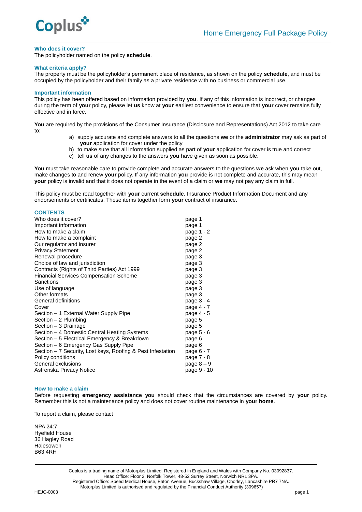

#### **Who does it cover?**

The policyholder named on the policy **schedule**.

#### **What criteria apply?**

The property must be the policyholder's permanent place of residence, as shown on the policy **schedule**, and must be occupied by the policyholder and their family as a private residence with no business or commercial use.

#### **Important information**

This policy has been offered based on information provided by **you**. If any of this information is incorrect, or changes during the term of **your** policy, please let **us** know at **your** earliest convenience to ensure that **your** cover remains fully effective and in force.

**You** are required by the provisions of the Consumer Insurance (Disclosure and Representations) Act 2012 to take care to:

- a) supply accurate and complete answers to all the questions **we** or the **administrator** may ask as part of **your** application for cover under the policy
- b) to make sure that all information supplied as part of **your** application for cover is true and correct
- c) tell **us** of any changes to the answers **you** have given as soon as possible.

**You** must take reasonable care to provide complete and accurate answers to the questions **we** ask when **you** take out, make changes to and renew **your** policy. If any information **you** provide is not complete and accurate, this may mean **your** policy is invalid and that it does not operate in the event of a claim or **we** may not pay any claim in full.

This policy must be read together with **your** current **schedule**, Insurance Product Information Document and any endorsements or certificates. These items together form **your** contract of insurance.

#### **CONTENTS**

| Who does it cover?                                          | page 1      |
|-------------------------------------------------------------|-------------|
| Important information                                       | page 1      |
| How to make a claim                                         | page 1 - 2  |
| How to make a complaint                                     | page 2      |
| Our regulator and insurer                                   | page 2      |
| <b>Privacy Statement</b>                                    | page 2      |
| Renewal procedure                                           | page 3      |
| Choice of law and jurisdiction                              | page 3      |
| Contracts (Rights of Third Parties) Act 1999                | page 3      |
| <b>Financial Services Compensation Scheme</b>               | page 3      |
| Sanctions                                                   | page 3      |
| Use of language                                             | page 3      |
| Other formats                                               | page 3      |
| General definitions                                         | page 3 - 4  |
| Cover                                                       | page 4 - 7  |
| Section – 1 External Water Supply Pipe                      | page 4 - 5  |
| Section - 2 Plumbing                                        | page 5      |
| Section - 3 Drainage                                        | page 5      |
| Section – 4 Domestic Central Heating Systems                | page 5 - 6  |
| Section - 5 Electrical Emergency & Breakdown                | page 6      |
| Section - 6 Emergency Gas Supply Pipe                       | page 6      |
| Section – 7 Security, Lost keys, Roofing & Pest Infestation | page 6 - 7  |
| Policy conditions                                           | page 7 - 8  |
| General exclusions                                          | page 8 – 9  |
| Astrenska Privacy Notice                                    | page 9 - 10 |

#### **How to make a claim**

Before requesting **emergency assistance you** should check that the circumstances are covered by **your** policy. Remember this is not a maintenance policy and does not cover routine maintenance in **your home**.

To report a claim, please contact

NPA 24:7 Hyefield House 36 Hagley Road **Halesowen** B63 4RH

> Coplus is a trading name of Motorplus Limited. Registered in England and Wales with Company No. 03092837. Head Office: Floor 2, Norfolk Tower, 48-52 Surrey Street, Norwich NR1 3PA. Registered Office: Speed Medical House, Eaton Avenue, Buckshaw Village, Chorley, Lancashire PR7 7NA. Motorplus Limited is authorised and regulated by the Financial Conduct Authority (309657)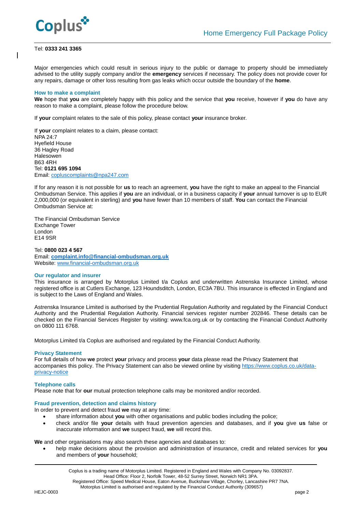

#### Tel: **0333 241 3365**

Major emergencies which could result in serious injury to the public or damage to property should be immediately advised to the utility supply company and/or the **emergency** services if necessary. The policy does not provide cover for any repairs, damage or other loss resulting from gas leaks which occur outside the boundary of the **home**.

#### **How to make a complaint**

**We** hope that **you** are completely happy with this policy and the service that **you** receive, however if **you** do have any reason to make a complaint, please follow the procedure below.

If **your** complaint relates to the sale of this policy, please contact **your** insurance broker.

If **your** complaint relates to a claim, please contact: NPA 24:7 Hyefield House 36 Hagley Road Halesowen B63 4RH Tel: **0121 695 1094** Email: [copluscomplaints@npa247.com](mailto:copluscomplaints@npa247.com)

If for any reason it is not possible for **us** to reach an agreement, **you** have the right to make an appeal to the Financial Ombudsman Service. This applies if **you** are an individual, or in a business capacity if **your** annual turnover is up to EUR 2,000,000 (or equivalent in sterling) and **you** have fewer than 10 members of staff. **You** can contact the Financial Ombudsman Service at:

The Financial Ombudsman Service Exchange Tower London E14 9SR

Tel: **0800 023 4 567** Email: **[complaint.info@financial-ombudsman.org.uk](mailto:complaint.info@financial-ombudsman.org.uk)** Website: [www.financial-ombudsman.org.uk](http://www.financial-ombudsman.org.uk/)

#### **Our regulator and insurer**

This insurance is arranged by Motorplus Limited t/a Coplus and underwritten Astrenska Insurance Limited, whose registered office is at Cutlers Exchange, 123 Houndsditch, London, EC3A 7BU. This insurance is effected in England and is subject to the Laws of England and Wales.

Astrenska Insurance Limited is authorised by the Prudential Regulation Authority and regulated by the Financial Conduct Authority and the Prudential Regulation Authority. Financial services register number 202846. These details can be checked on the Financial Services Register by visiting: www.fca.org.uk or by contacting the Financial Conduct Authority on 0800 111 6768.

Motorplus Limited t/a Coplus are authorised and regulated by the Financial Conduct Authority.

#### **Privacy Statement**

For full details of how **we** protect **your** privacy and process **your** data please read the Privacy Statement that accompanies this policy. The Privacy Statement can also be viewed online by visiting [https://www.coplus.co.uk/data](https://www.coplus.co.uk/data-privacy-notice)[privacy-notice](https://www.coplus.co.uk/data-privacy-notice)

#### **Telephone calls**

Please note that for **our** mutual protection telephone calls may be monitored and/or recorded.

#### **Fraud prevention, detection and claims history**

In order to prevent and detect fraud **we** may at any time:

- share information about **you** with other organisations and public bodies including the police;
- check and/or file **your** details with fraud prevention agencies and databases, and if **you** give **us** false or inaccurate information and **we** suspect fraud, **we** will record this.

**We** and other organisations may also search these agencies and databases to:

 help make decisions about the provision and administration of insurance, credit and related services for **you** and members of **your** household;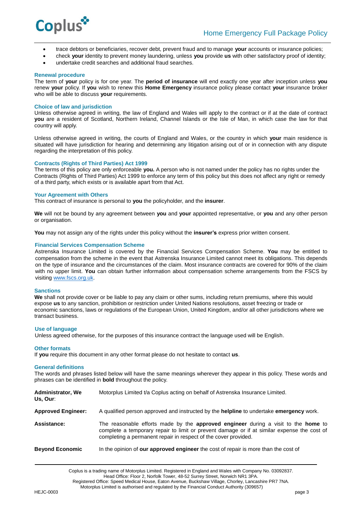

- trace debtors or beneficiaries, recover debt, prevent fraud and to manage **your** accounts or insurance policies;
- check **your** identity to prevent money laundering, unless **you** provide **us** with other satisfactory proof of identity;
- undertake credit searches and additional fraud searches.

#### **Renewal procedure**

The term of **your** policy is for one year. The **period of insurance** will end exactly one year after inception unless **you** renew **your** policy. If **you** wish to renew this **Home Emergency** insurance policy please contact **your** insurance broker who will be able to discuss **your** requirements.

#### **Choice of law and jurisdiction**

Unless otherwise agreed in writing, the law of England and Wales will apply to the contract or if at the date of contract **you** are a resident of Scotland, Northern Ireland, Channel Islands or the Isle of Man, in which case the law for that country will apply.

Unless otherwise agreed in writing, the courts of England and Wales, or the country in which **your** main residence is situated will have jurisdiction for hearing and determining any litigation arising out of or in connection with any dispute regarding the interpretation of this policy.

## **Contracts (Rights of Third Parties) Act 1999**

The terms of this policy are only enforceable **you.** A person who is not named under the policy has no rights under the Contracts (Rights of Third Parties) Act 1999 to enforce any term of this policy but this does not affect any right or remedy of a third party, which exists or is available apart from that Act.

#### **Your Agreement with Others**

This contract of insurance is personal to **you** the policyholder, and the **insurer**.

**We** will not be bound by any agreement between **you** and **your** appointed representative, or **you** and any other person or organisation.

**You** may not assign any of the rights under this policy without the **insurer's** express prior written consent.

#### **Financial Services Compensation Scheme**

Astrenska Insurance Limited is covered by the Financial Services Compensation Scheme. **You** may be entitled to compensation from the scheme in the event that Astrenska Insurance Limited cannot meet its obligations. This depends on the type of insurance and the circumstances of the claim. Most insurance contracts are covered for 90% of the claim with no upper limit. **You** can obtain further information about compensation scheme arrangements from the FSCS by visiting [www.fscs.org.uk.](http://www.fscs.org.uk/)

#### **Sanctions**

We shall not provide cover or be liable to pay any claim or other sums, including return premiums, where this would expose **us** to any sanction, prohibition or restriction under United Nations resolutions, asset freezing or trade or economic sanctions, laws or regulations of the European Union, United Kingdom, and/or all other jurisdictions where we transact business.

#### **Use of language**

Unless agreed otherwise, for the purposes of this insurance contract the language used will be English.

#### **Other formats**

If **you** require this document in any other format please do not hesitate to contact **us**.

#### **General definitions**

The words and phrases listed below will have the same meanings wherever they appear in this policy. These words and phrases can be identified in **bold** throughout the policy.

| <b>Administrator, We</b><br>Us, Our: | Motorplus Limited t/a Coplus acting on behalf of Astrenska Insurance Limited.                                                                                                                                                                        |
|--------------------------------------|------------------------------------------------------------------------------------------------------------------------------------------------------------------------------------------------------------------------------------------------------|
| <b>Approved Engineer:</b>            | A qualified person approved and instructed by the <b>helpline</b> to undertake <b>emergency</b> work.                                                                                                                                                |
| <b>Assistance:</b>                   | The reasonable efforts made by the approved engineer during a visit to the home to<br>complete a temporary repair to limit or prevent damage or if at similar expense the cost of<br>completing a permanent repair in respect of the cover provided. |
| <b>Beyond Economic</b>               | In the opinion of <b>our approved engineer</b> the cost of repair is more than the cost of                                                                                                                                                           |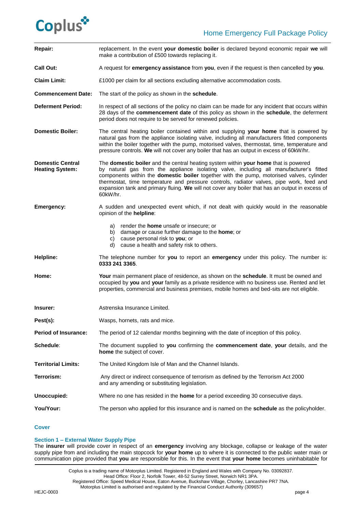# Coplus\*

| Repair:                                           | replacement. In the event your domestic boiler is declared beyond economic repair we will<br>make a contribution of £500 towards replacing it.                                                                                                                                                                                                                                                                                                                                       |
|---------------------------------------------------|--------------------------------------------------------------------------------------------------------------------------------------------------------------------------------------------------------------------------------------------------------------------------------------------------------------------------------------------------------------------------------------------------------------------------------------------------------------------------------------|
| <b>Call Out:</b>                                  | A request for <b>emergency assistance</b> from you, even if the request is then cancelled by you.                                                                                                                                                                                                                                                                                                                                                                                    |
| <b>Claim Limit:</b>                               | £1000 per claim for all sections excluding alternative accommodation costs.                                                                                                                                                                                                                                                                                                                                                                                                          |
| <b>Commencement Date:</b>                         | The start of the policy as shown in the schedule.                                                                                                                                                                                                                                                                                                                                                                                                                                    |
| <b>Deferment Period:</b>                          | In respect of all sections of the policy no claim can be made for any incident that occurs within<br>28 days of the commencement date of this policy as shown in the schedule, the deferment<br>period does not require to be served for renewed policies.                                                                                                                                                                                                                           |
| <b>Domestic Boiler:</b>                           | The central heating boiler contained within and supplying your home that is powered by<br>natural gas from the appliance isolating valve, including all manufacturers fitted components<br>within the boiler together with the pump, motorised valves, thermostat, time, temperature and<br>pressure controls. We will not cover any boiler that has an output in excess of 60kW/hr.                                                                                                 |
| <b>Domestic Central</b><br><b>Heating System:</b> | The domestic boiler and the central heating system within your home that is powered<br>by natural gas from the appliance isolating valve, including all manufacturer's fitted<br>components within the domestic boiler together with the pump, motorised valves, cylinder<br>thermostat, time temperature and pressure controls, radiator valves, pipe work, feed and<br>expansion tank and primary fluing. We will not cover any boiler that has an output in excess of<br>60kW/hr. |
| <b>Emergency:</b>                                 | A sudden and unexpected event which, if not dealt with quickly would in the reasonable<br>opinion of the helpline:                                                                                                                                                                                                                                                                                                                                                                   |
|                                                   | render the <b>home</b> unsafe or insecure; or<br>a)<br>damage or cause further damage to the home; or<br>b)<br>cause personal risk to you; or<br>C)<br>cause a health and safety risk to others.<br>d)                                                                                                                                                                                                                                                                               |
| Helpline:                                         | The telephone number for you to report an emergency under this policy. The number is:<br>0333 241 3365.                                                                                                                                                                                                                                                                                                                                                                              |
| Home:                                             | Your main permanent place of residence, as shown on the schedule. It must be owned and<br>occupied by you and your family as a private residence with no business use. Rented and let<br>properties, commercial and business premises, mobile homes and bed-sits are not eligible.                                                                                                                                                                                                   |
| Insurer:                                          | Astrenska Insurance Limited.                                                                                                                                                                                                                                                                                                                                                                                                                                                         |
| Pest(s):                                          | Wasps, hornets, rats and mice.                                                                                                                                                                                                                                                                                                                                                                                                                                                       |
| <b>Period of Insurance:</b>                       | The period of 12 calendar months beginning with the date of inception of this policy.                                                                                                                                                                                                                                                                                                                                                                                                |
| Schedule:                                         | The document supplied to you confirming the commencement date, your details, and the<br>home the subject of cover.                                                                                                                                                                                                                                                                                                                                                                   |
| <b>Territorial Limits:</b>                        | The United Kingdom Isle of Man and the Channel Islands.                                                                                                                                                                                                                                                                                                                                                                                                                              |
| Terrorism:                                        | Any direct or indirect consequence of terrorism as defined by the Terrorism Act 2000<br>and any amending or substituting legislation.                                                                                                                                                                                                                                                                                                                                                |
| Unoccupied:                                       | Where no one has resided in the <b>home</b> for a period exceeding 30 consecutive days.                                                                                                                                                                                                                                                                                                                                                                                              |
| You/Your:                                         | The person who applied for this insurance and is named on the schedule as the policyholder.                                                                                                                                                                                                                                                                                                                                                                                          |

# **Cover**

#### **Section 1 – External Water Supply Pipe**

The **insurer** will provide cover in respect of an **emergency** involving any blockage, collapse or leakage of the water supply pipe from and including the main stopcock for **your home** up to where it is connected to the public water main or communication pipe provided that **you** are responsible for this. In the event that **your home** becomes uninhabitable for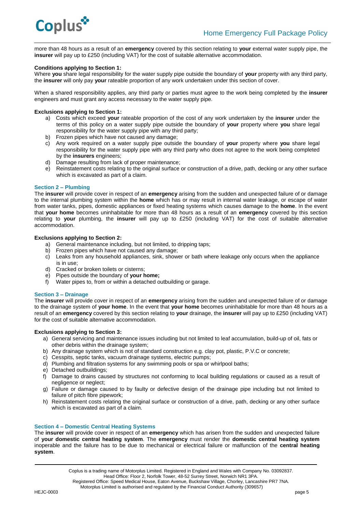

more than 48 hours as a result of an **emergency** covered by this section relating to **your** external water supply pipe, the **insurer** will pay up to £250 (including VAT) for the cost of suitable alternative accommodation.

### **Conditions applying to Section 1:**

Where **you** share legal responsibility for the water supply pipe outside the boundary of **your** property with any third party, the **insurer** will only pay **your** rateable proportion of any work undertaken under this section of cover.

When a shared responsibility applies, any third party or parties must agree to the work being completed by the **insurer** engineers and must grant any access necessary to the water supply pipe.

### **Exclusions applying to Section 1:**

- a) Costs which exceed **your** rateable proportion of the cost of any work undertaken by the **insurer** under the terms of this policy on a water supply pipe outside the boundary of **your** property where **you** share legal responsibility for the water supply pipe with any third party;
- b) Frozen pipes which have not caused any damage;
- c) Any work required on a water supply pipe outside the boundary of **your** property where **you** share legal responsibility for the water supply pipe with any third party who does not agree to the work being completed by the **insurers** engineers;
- d) Damage resulting from lack of proper maintenance;
- e)Reinstatement costs relating to the original surface or construction of a drive, path, decking or any other surface which is excavated as part of a claim.

# **Section 2 – Plumbing**

The **insurer** will provide cover in respect of an **emergency** arising from the sudden and unexpected failure of or damage to the internal plumbing system within the **home** which has or may result in internal water leakage, or escape of water from water tanks, pipes, domestic appliances or fixed heating systems which causes damage to the **home**. In the event that **your home** becomes uninhabitable for more than 48 hours as a result of an **emergency** covered by this section relating to **your** plumbing, the **insurer** will pay up to £250 (including VAT) for the cost of suitable alternative accommodation.

# **Exclusions applying to Section 2:**

- a) General maintenance including, but not limited, to dripping taps;
- b) Frozen pipes which have not caused any damage;
- c) Leaks from any household appliances, sink, shower or bath where leakage only occurs when the appliance is in use;
- d) Cracked or broken toilets or cisterns;
- e) Pipes outside the boundary of **your home;**
- f) Water pipes to, from or within a detached outbuilding or garage.

#### **Section 3 – Drainage**

The **insurer** will provide cover in respect of an **emergency** arising from the sudden and unexpected failure of or damage to the drainage system of **your home**. In the event that **your home** becomes uninhabitable for more than 48 hours as a result of an **emergency** covered by this section relating to **your** drainage, the **insurer** will pay up to £250 (including VAT) for the cost of suitable alternative accommodation.

#### **Exclusions applying to Section 3:**

- a) General servicing and maintenance issues including but not limited to leaf accumulation, build-up of oil, fats or other debris within the drainage system;
- b) Any drainage system which is not of standard construction e.g. clay pot, plastic, P.V.C or concrete;
- c) Cesspits, septic tanks, vacuum drainage systems, electric pumps;
- d) Plumbing and filtration systems for any swimming pools or spa or whirlpool baths;
- e) Detached outbuildings;
- f) Damage to drains caused by structures not conforming to local building regulations or caused as a result of negligence or neglect;
- g) Failure or damage caused to by faulty or defective design of the drainage pipe including but not limited to failure of pitch fibre pipework;
- h) Reinstatement costs relating the original surface or construction of a drive, path, decking or any other surface which is excavated as part of a claim.

#### **Section 4 – Domestic Central Heating Systems**

The **insurer** will provide cover in respect of an **emergency** which has arisen from the sudden and unexpected failure of **your domestic central heating system**. The **emergency** must render the **domestic central heating system** inoperable and the failure has to be due to mechanical or electrical failure or malfunction of the **central heating system**.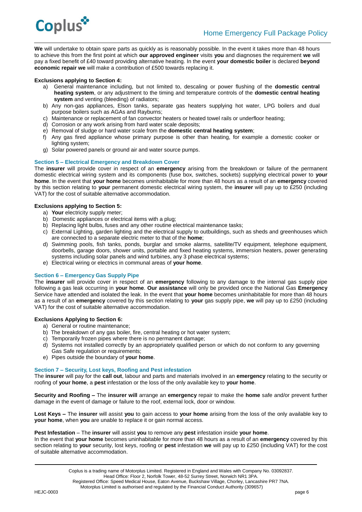

**We** will undertake to obtain spare parts as quickly as is reasonably possible. In the event it takes more than 48 hours to achieve this from the first point at which **our approved engineer** visits **you** and diagnoses the requirement **we** will pay a fixed benefit of £40 toward providing alternative heating. In the event **your domestic boiler** is declared **beyond economic repair we** will make a contribution of £500 towards replacing it.

# **Exclusions applying to Section 4:**

- a) General maintenance including, but not limited to, descaling or power flushing of the **domestic central heating system**, or any adjustment to the timing and temperature controls of the **domestic central heating system** and venting (bleeding) of radiators;
- b) Any non-gas appliances, Elson tanks, separate gas heaters supplying hot water, LPG boilers and dual purpose boilers such as AGAs and Rayburns;
- c) Maintenance or replacement of fan convector heaters or heated towel rails or underfloor heating;
- d) Corrosion or any work arising from hard water scale deposits;
- e) Removal of sludge or hard water scale from the **domestic central heating system**;
- f) Any gas fired appliance whose primary purpose is other than heating, for example a domestic cooker or lighting system;
- g) Solar powered panels or ground air and water source pumps.

#### **Section 5 – Electrical Emergency and Breakdown Cover**

The **insurer** will provide cover in respect of an **emergency** arising from the breakdown or failure of the permanent domestic electrical wiring system and its components (fuse box, switches, sockets) supplying electrical power to **your home**. In the event that **your home** becomes uninhabitable for more than 48 hours as a result of an **emergency** covered by this section relating to **your** permanent domestic electrical wiring system, the **insurer** will pay up to £250 (including VAT) for the cost of suitable alternative accommodation.

# **Exclusions applying to Section 5:**

- a) **Your** electricity supply meter;
- b) Domestic appliances or electrical items with a plug;
- b) Replacing light bulbs, fuses and any other routine electrical maintenance tasks;
- c) External Lighting, garden lighting and the electrical supply to outbuildings, such as sheds and greenhouses which are connected to a separate electric meter to that of the **home**;
- d) Swimming pools, fish tanks, ponds, burglar and smoke alarms, satellite/TV equipment, telephone equipment. doorbells, garage doors, shower units, portable and fixed heating systems, immersion heaters, power generating systems including solar panels and wind turbines, any 3 phase electrical systems;
- e) Electrical wiring or electrics in communal areas of **your home**.

#### **Section 6 – Emergency Gas Supply Pipe**

The **insurer** will provide cover in respect of an **emergency** following to any damage to the internal gas supply pipe following a gas leak occurring in **your home**. **Our assistance** will only be provided once the National Gas **Emergency** Service have attended and isolated the leak. In the event that **your home** becomes uninhabitable for more than 48 hours as a result of an **emergency** covered by this section relating to **your** gas supply pipe, **we** will pay up to £250 (including VAT) for the cost of suitable alternative accommodation.

#### **Exclusions Applying to Section 6:**

- a) General or routine maintenance;
- b) The breakdown of any gas boiler, fire, central heating or hot water system;
- c) Temporarily frozen pipes where there is no permanent damage;
- d) Systems not installed correctly by an appropriately qualified person or which do not conform to any governing Gas Safe regulation or requirements:
- e) Pipes outside the boundary of **your home**.

#### **Section 7 – Security, Lost keys, Roofing and Pest infestation**

The **insurer** will pay for the **call out**, labour and parts and materials involved in an **emergency** relating to the security or roofing of **your home**, a **pest** infestation or the loss of the only available key to **your home**.

**Security and Roofing –** The **insurer will** arrange an **emergency** repair to make the **home** safe and/or prevent further damage in the event of damage or failure to the roof, external lock, door or window.

**Lost Keys –** The **insurer** will assist **you** to gain access to **your home** arising from the loss of the only available key to **your home**, when **you** are unable to replace it or gain normal access.

#### **Pest Infestation** – The **insurer** will assist **you** to remove any **pest** infestation inside **your home**.

In the event that **your home** becomes uninhabitable for more than 48 hours as a result of an **emergency** covered by this section relating to **your** security, lost keys, roofing or **pest** infestation **we** will pay up to £250 (including VAT) for the cost of suitable alternative accommodation.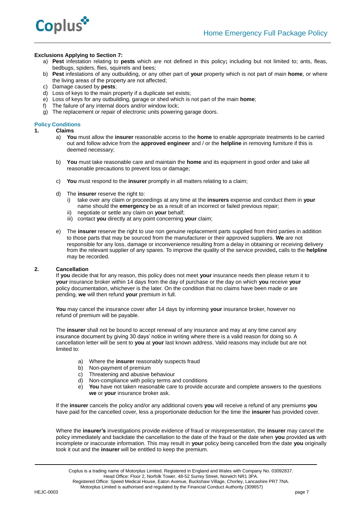

# **Exclusions Applying to Section 7:**

- a) **Pest** infestation relating to **pests** which are not defined in this policy**;** including but not limited to; ants, fleas, bedbugs, spiders, flies, squirrels and bees;
- b) **Pest** infestations of any outbuilding, or any other part of **your** property which is not part of main **home**, or where the living areas of the property are not affected;
- c) Damage caused by **pests**;
- d) Loss of keys to the main property if a duplicate set exists;
- e) Loss of keys for any outbuilding, garage or shed which is not part of the main **home**;
- The failure of any internal doors and/or window lock;
- g) The replacement or repair of electronic units powering garage doors.

### **Policy Conditions**

- **1. Claims**
	- a) **You** must allow the **insurer** reasonable access to the **home** to enable appropriate treatments to be carried out and follow advice from the **approved engineer** and / or the **helpline** in removing furniture if this is deemed necessary;
	- b) **You** must take reasonable care and maintain the **home** and its equipment in good order and take all reasonable precautions to prevent loss or damage;
	- c) **You** must respond to the **insurer** promptly in all matters relating to a claim;
	- d) The **insurer** reserve the right to:
		- i) take over any claim or proceedings at any time at the **insurers** expense and conduct them in **your** name should the **emergency** be as a result of an incorrect or failed previous repair;
		- ii) negotiate or settle any claim on **your** behalf;
		- iii) contact **you** directly at any point concerning **your** claim;
	- e) The **insurer** reserve the right to use non genuine replacement parts supplied from third parties in addition to those parts that may be sourced from the manufacturer or their approved suppliers. **We** are not responsible for any loss, damage or inconvenience resulting from a delay in obtaining or receiving delivery from the relevant supplier of any spares. To improve the quality of the service provided**,** calls to the **helpline** may be recorded.

# **2. Cancellation**

If **you** decide that for any reason, this policy does not meet **your** insurance needs then please return it to **your** insurance broker within 14 days from the day of purchase or the day on which **you** receive **your** policy documentation, whichever is the later. On the condition that no claims have been made or are pending, **we** will then refund **your** premium in full.

**You** may cancel the insurance cover after 14 days by informing **your** insurance broker, however no refund of premium will be payable.

The **insurer** shall not be bound to accept renewal of any insurance and may at any time cancel any insurance document by giving 30 days' notice in writing where there is a valid reason for doing so. A cancellation letter will be sent to **you** at **your** last known address. Valid reasons may include but are not limited to:

- a) Where the **insurer** reasonably suspects fraud
- b) Non-payment of premium
- c) Threatening and abusive behaviour
- d) Non-compliance with policy terms and conditions
- e) **You** have not taken reasonable care to provide accurate and complete answers to the questions **we** or **your** insurance broker ask.

If the **insurer** cancels the policy and/or any additional covers **you** will receive a refund of any premiums **you** have paid for the cancelled cover, less a proportionate deduction for the time the **insurer** has provided cover.

Where the **insurer's** investigations provide evidence of fraud or misrepresentation, the **insurer** may cancel the policy immediately and backdate the cancellation to the date of the fraud or the date when **you** provided **us** with incomplete or inaccurate information. This may result in **your** policy being cancelled from the date **you** originally took it out and the **insurer** will be entitled to keep the premium.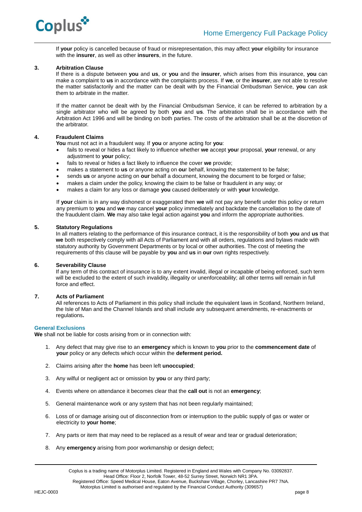

If **your** policy is cancelled because of fraud or misrepresentation, this may affect **your** eligibility for insurance with the **insurer**, as well as other **insurers**, in the future.

### **3. Arbitration Clause**

If there is a dispute between **you** and **us**, or **you** and the **insurer**, which arises from this insurance, **you** can make a complaint to **us** in accordance with the complaints process. If **we**, or the **insurer**, are not able to resolve the matter satisfactorily and the matter can be dealt with by the Financial Ombudsman Service, **you** can ask them to arbitrate in the matter.

If the matter cannot be dealt with by the Financial Ombudsman Service, it can be referred to arbitration by a single arbitrator who will be agreed by both **you** and **us**. The arbitration shall be in accordance with the Arbitration Act 1996 and will be binding on both parties. The costs of the arbitration shall be at the discretion of the arbitrator.

# **4. Fraudulent Claims**

**You** must not act in a fraudulent way. If **you** or anyone acting for **you**:

- fails to reveal or hides a fact likely to influence whether **we** accept **you**r proposal, **your** renewal, or any adjustment to **your** policy;
- fails to reveal or hides a fact likely to influence the cover **we** provide;
- makes a statement to **us** or anyone acting on **ou**r behalf, knowing the statement to be false;
- sends **us** or anyone acting on **our** behalf a document, knowing the document to be forged or false;
- makes a claim under the policy, knowing the claim to be false or fraudulent in any way; or
- makes a claim for any loss or damage **you** caused deliberately or with **your** knowledge.

If **your** claim is in any way dishonest or exaggerated then **we** will not pay any benefit under this policy or return any premium to **you** and **we** may cancel **your** policy immediately and backdate the cancellation to the date of the fraudulent claim. **We** may also take legal action against **you** and inform the appropriate authorities.

#### **5. Statutory Regulations**

In all matters relating to the performance of this insurance contract, it is the responsibility of both **you** and **us** that **we** both respectively comply with all Acts of Parliament and with all orders, regulations and bylaws made with statutory authority by Government Departments or by local or other authorities. The cost of meeting the requirements of this clause will be payable by **you** and **us** in **our** own rights respectively.

#### **6. Severability Clause**

If any term of this contract of insurance is to any extent invalid, illegal or incapable of being enforced, such term will be excluded to the extent of such invalidity, illegality or unenforceability; all other terms will remain in full force and effect.

# **7. Acts of Parliament**

All references to Acts of Parliament in this policy shall include the equivalent laws in Scotland, Northern Ireland, the Isle of Man and the Channel Islands and shall include any subsequent amendments, re-enactments or regulations**.**

#### **General Exclusions**

**We** shall not be liable for costs arising from or in connection with:

- 1. Any defect that may give rise to an **emergency** which is known to **you** prior to the **commencement date** of **your** policy or any defects which occur within the **deferment period.**
- 2. Claims arising after the **home** has been left **unoccupied**;
- 3. Any wilful or negligent act or omission by **you** or any third party;
- 4. Events where on attendance it becomes clear that the **call out** is not an **emergency**;
- 5. General maintenance work or any system that has not been regularly maintained;
- 6. Loss of or damage arising out of disconnection from or interruption to the public supply of gas or water or electricity to **your home**;
- 7. Any parts or item that may need to be replaced as a result of wear and tear or gradual deterioration;
- 8. Any **emergency** arising from poor workmanship or design defect;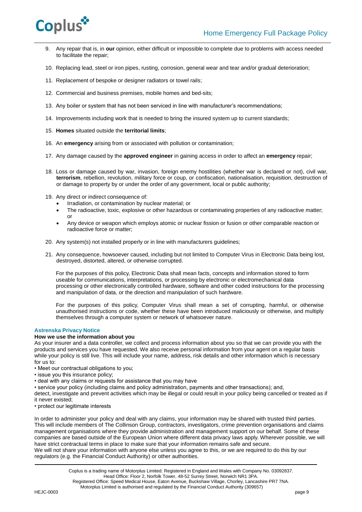

- 9. Any repair that is, in **our** opinion, either difficult or impossible to complete due to problems with access needed to facilitate the repair;
- 10. Replacing lead, steel or iron pipes, rusting, corrosion, general wear and tear and/or gradual deterioration;
- 11. Replacement of bespoke or designer radiators or towel rails;
- 12. Commercial and business premises, mobile homes and bed-sits;
- 13. Any boiler or system that has not been serviced in line with manufacturer's recommendations;
- 14. Improvements including work that is needed to bring the insured system up to current standards;
- 15. **Homes** situated outside the **territorial limits**;
- 16. An **emergency** arising from or associated with pollution or contamination;
- 17. Any damage caused by the **approved engineer** in gaining access in order to affect an **emergency** repair;
- 18. Loss or damage caused by war, invasion, foreign enemy hostilities (whether war is declared or not), civil war, **terrorism**, rebellion, revolution, military force or coup, or confiscation, nationalisation, requisition, destruction of or damage to property by or under the order of any government, local or public authority;
- 19. Any direct or indirect consequence of:
	- Irradiation, or contamination by nuclear material; or
	- The radioactive, toxic, explosive or other hazardous or contaminating properties of any radioactive matter; or
	- Any device or weapon which employs atomic or nuclear fission or fusion or other comparable reaction or radioactive force or matter;
- 20. Any system(s) not installed properly or in line with manufacturers guidelines;
- 21. Any consequence, howsoever caused, including but not limited to Computer Virus in Electronic Data being lost, destroyed, distorted, altered, or otherwise corrupted.

For the purposes of this policy, Electronic Data shall mean facts, concepts and information stored to form useable for communications, interpretations, or processing by electronic or electromechanical data processing or other electronically controlled hardware, software and other coded instructions for the processing and manipulation of data, or the direction and manipulation of such hardware.

For the purposes of this policy, Computer Virus shall mean a set of corrupting, harmful, or otherwise unauthorised instructions or code, whether these have been introduced maliciously or otherwise, and multiply themselves through a computer system or network of whatsoever nature.

#### **Astrenska Privacy Notice**

# **How we use the information about you**

As your insurer and a data controller, we collect and process information about you so that we can provide you with the products and services you have requested. We also receive personal information from your agent on a regular basis while your policy is still live. This will include your name, address, risk details and other information which is necessary for us to:

- Meet our contractual obligations to you;
- issue you this insurance policy;
- deal with any claims or requests for assistance that you may have
- service your policy (including claims and policy administration, payments and other transactions); and,

detect, investigate and prevent activities which may be illegal or could result in your policy being cancelled or treated as if it never existed;

• protect our legitimate interests

In order to administer your policy and deal with any claims, your information may be shared with trusted third parties. This will include members of The Collinson Group, contractors, investigators, crime prevention organisations and claims management organisations where they provide administration and management support on our behalf. Some of these companies are based outside of the European Union where different data privacy laws apply. Wherever possible, we will have strict contractual terms in place to make sure that your information remains safe and secure. We will not share your information with anyone else unless you agree to this, or we are required to do this by our regulators (e.g. the Financial Conduct Authority) or other authorities.